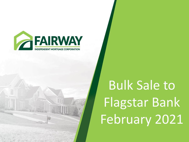

# Bulk Sale to Flagstar Bank February 2021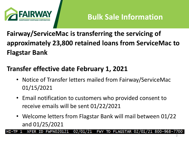

**Fairway/ServiceMac is transferring the servicing of approximately 23,800 retained loans from ServiceMac to Flagstar Bank**

### **Transfer effective date February 1, 2021**

- Notice of Transfer letters mailed from Fairway/ServiceMac 01/15/2021
- Email notification to customers who provided consent to receive emails will be sent 01/22/2021
- Welcome letters from Flagstar Bank will mail between 01/22 and 01/25/2021

TO FLAGSTAR 02/01 **FWFN020121** 02 **FWY** 800-968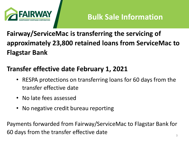

**Fairway/ServiceMac is transferring the servicing of approximately 23,800 retained loans from ServiceMac to Flagstar Bank**

### **Transfer effective date February 1, 2021**

- RESPA protections on transferring loans for 60 days from the transfer effective date
- No late fees assessed
- No negative credit bureau reporting

Payments forwarded from Fairway/ServiceMac to Flagstar Bank for 60 days from the transfer effective date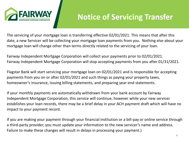

### **Notice of Servicing Transfer**

The servicing of your mortgage loan is transferring effective 02/01/2021. This means that after this date, a new Servicer will be collecting your mortgage loan payments from you. Nothing else about your mortgage loan will change other than terms directly related to the servicing of your loan.

Fairway Independent Mortgage Corporation will collect your payments prior to 02/01/2021. Fairway Independent Mortgage Corporation will stop accepting payments from you after 01/31/2021.

Flagstar Bank will start servicing your mortgage loan on 02/01/2021 and is responsible for accepting payments from you on or after 02/01/2021 and such things as paying your property taxes, homeowner's insurance, issuing billing statements, and preparing year-end statements.

If your monthly payments are automatically withdrawn from your bank account by Fairway Independent Mortgage Corporation, this service will continue, however while your new servicer establishes your loan records, there may be a brief delay in your ACH payment draft which will have no impact to your payment record.

If you are making your payment through your financial institution or a bill-pay or online service through a third-party provider, you must update your information to the new servicer's name and address. Failure to make these changes will result in delays in processing your payment.)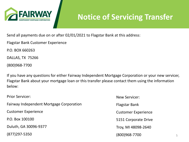

### **Notice of Servicing Transfer**

Send all payments due on or after 02/01/2021 to Flagstar Bank at this address:

Flagstar Bank Customer Experience

P.O. BOX 660263

DALLAS, TX 75266

(800)968-7700

If you have any questions for either Fairway Independent Mortgage Corporation or your new servicer, Flagstar Bank about your mortgage loan or this transfer please contact them using the information below:

| <b>Prior Servicer:</b>                          | New Servicer:              |
|-------------------------------------------------|----------------------------|
| <b>Fairway Independent Mortgage Corporation</b> | <b>Flagstar Bank</b>       |
| <b>Customer Experience</b>                      | <b>Customer Experience</b> |
| P.O. Box 100100                                 | 5151 Corporate Drive       |
| Duluth, GA 30096-9377                           | Troy, MI 48098-2640        |
| $(877)$ 297-5350                                | (800)968-7700              |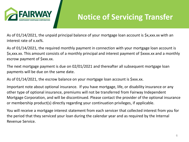

### **Notice of Servicing Transfer**

As of 01/14/2021, the unpaid principal balance of your mortgage loan account is \$x,xxx.xx with an interest rate of x.xx%.

As of 01/14/2021, the required monthly payment in connection with your mortgage loan account is \$x,xxx.xx. This amount consists of a monthly principal and interest payment of \$xxxx.xx and a monthly escrow payment of \$xxx.xx.

The next mortgage payment is due on 02/01/2021 and thereafter all subsequent mortgage loan payments will be due on the same date.

As of 01/14/2021, the escrow balance on your mortgage loan account is \$xxx.xx.

Important note about optional insurance. If you have mortgage, life, or disability insurance or any other type of optional insurance, premiums will not be transferred from Fairway Independent Mortgage Corporation, and will be discontinued. Please contact the provider of the optional insurance or membership product(s) directly regarding your continuation privileges, if applicable.

You will receive a mortgage interest statement from each servicer that collected interest from you for the period that they serviced your loan during the calendar year and as required by the Internal Revenue Service.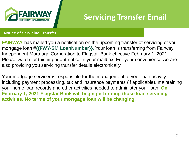

## **Servicing Transfer Email**

#### **Notice of Servicing Transfer**

**FAIRWAY** has mailed you a notification on the upcoming transfer of servicing of your mortgage loan #**{{FWY-SM LoanNumber}}.** Your loan is transferring from Fairway Independent Mortgage Corporation to Flagstar Bank effective February 1, 2021. Please watch for this important notice in your mailbox. For your convenience we are also providing you servicing transfer details electronically.

Your mortgage servicer is responsible for the management of your loan activity including payment processing, tax and insurance payments (if applicable), maintaining your home loan records and other activities needed to administer your loan. **On February 1, 2021 Flagstar Bank will begin performing those loan servicing activities. No terms of your mortgage loan will be changing**.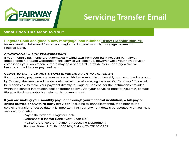

### **Servicing Transfer Email**

#### **What Does This Mean to You?**

**Flagstar Bank assigned a new mortgage loan number {{New Flagstar loan #}}**

for use starting February  $1<sup>st</sup>$  when you begin making your monthly mortgage payment to Flagstar Bank.

#### *CONDITIONAL – ACH TRANSFERRING*

If your monthly payments are automatically withdrawn from your bank account by Fairway Independent Mortgage Corporation, this service will continue, however while your new servicer establishes your loan records, there may be a short ACH draft delay in February which will have no impact to your payment record.

#### *CONDITIONAL – ACH NOT TRANSFERRING/NO ACH TO TRANSFER*

If your monthly payments are automatically withdrawn monthly or biweekly from your bank account by Fairway, this service will be discontinued at time of servicing transfer. On February 1<sup>st</sup> you will be responsible to make your payment directly to Flagstar Bank as per the instructions provided within the contact information section further below. After your servicing transfer, you may contact Flagstar Bank to establish an electronic payment draft.

**If you are making your monthly payment through your financial institution, a bill-pay or online service or any third-party provider** (including military allotments), then prior to the servicing transfer effective date, it is important that your payment details be updated with your new servicer information:

> Pay to the order of: Flagstar Bank Reference: [Flagstar Bank "New" Loan No.] Mail to/reference the: Payment Processing Department Flagstar Bank, P.O. Box 660263, Dallas, TX 75266-0263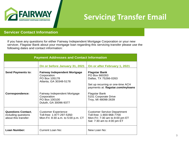

### **Servicing Transfer Email**

#### **Servicer Contact Information**

If you have any questions for either Fairway Independent Mortgage Corporation or your new servicer, Flagstar Bank about your mortgage loan regarding this servicing transfer please use the following dates and contact information:

| <b>Payment Addresses and Contact Information</b>                         |                                                                                               |                                                                                                                                         |
|--------------------------------------------------------------------------|-----------------------------------------------------------------------------------------------|-----------------------------------------------------------------------------------------------------------------------------------------|
|                                                                          | On or before January 31, 2021                                                                 | On or after February 1, 2021                                                                                                            |
| <b>Send Payments to:</b>                                                 | <b>Fairway Independent Mortgage</b><br>Corporation<br>PO Box 105178<br>Atlanta, GA 30348-5178 | <b>Flagstar Bank</b><br>PO Box 660263<br>Dallas, TX 75266-0263<br>Set up recurring or one-time ACH<br>payments at: flagstar.com/myloans |
| <b>Correspondence:</b>                                                   | Fairway Independent Mortgage<br>Corporation<br>PO Box 100100<br>Duluth, GA 30096-9377         | Flagstar Bank<br>5151 Corporate Drive<br>Troy, MI 48098-2639                                                                            |
| <b>Questions Contact,</b><br>including questions<br>about this transfer: | <b>Customer Experience</b><br>Toll-free: 1-877-297-5350<br>Mon-Fri: 8:30 a.m. to 5:00 p.m. CT | <b>Customer Service Department</b><br>Toll-free: 1-800-968-7700<br>Mon-Fri: 7:30 am to 8:00 pm ET<br>Sat: 7:30 am to 4:00 pm ET         |
| <b>Loan Number:</b>                                                      | <b>Current Loan No:</b>                                                                       | New Loan No:                                                                                                                            |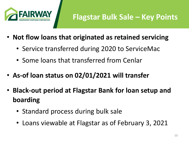

- **Not flow loans that originated as retained servicing**
	- Service transferred during 2020 to ServiceMac
	- Some loans that transferred from Cenlar
- **As-of loan status on 02/01/2021 will transfer**
- **Black-out period at Flagstar Bank for loan setup and boarding**
	- Standard process during bulk sale
	- Loans viewable at Flagstar as of February 3, 2021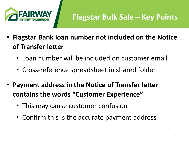

- **Flagstar Bank loan number not included on the Notice of Transfer letter**
	- Loan number will be included on customer email
	- Cross-reference spreadsheet in shared folder
- **Payment address in the Notice of Transfer letter contains the words "Customer Experience"**
	- This may cause customer confusion
	- Confirm this is the accurate payment address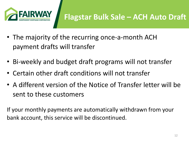

# **Flagstar Bulk Sale – ACH Auto Draft**

- The majority of the recurring once-a-month ACH payment drafts will transfer
- Bi-weekly and budget draft programs will not transfer
- Certain other draft conditions will not transfer
- A different version of the Notice of Transfer letter will be sent to these customers

If your monthly payments are automatically withdrawn from your bank account, this service will be discontinued.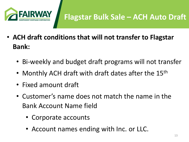

# **Flagstar Bulk Sale – ACH Auto Draft**

- **ACH draft conditions that will not transfer to Flagstar Bank:**
	- Bi-weekly and budget draft programs will not transfer
	- Monthly ACH draft with draft dates after the 15<sup>th</sup>
	- Fixed amount draft
	- Customer's name does not match the name in the Bank Account Name field
		- Corporate accounts
		- Account names ending with Inc. or LLC.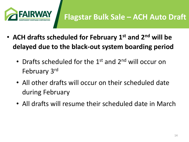

- **ACH drafts scheduled for February 1st and 2nd will be delayed due to the black-out system boarding period**
	- Drafts scheduled for the 1<sup>st</sup> and 2<sup>nd</sup> will occur on February 3rd
	- All other drafts will occur on their scheduled date during February
	- All drafts will resume their scheduled date in March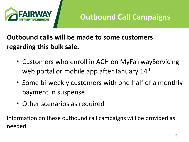

### **Outbound calls will be made to some customers regarding this bulk sale.**

- Customers who enroll in ACH on MyFairwayServicing web portal or mobile app after January 14<sup>th</sup>
- Some bi-weekly customers with one-half of a monthly payment in suspense
- Other scenarios as required

Information on these outbound call campaigns will be provided as needed.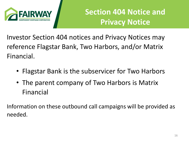

# **Section 404 Notice and Privacy Notice**

Investor Section 404 notices and Privacy Notices may reference Flagstar Bank, Two Harbors, and/or Matrix Financial.

- Flagstar Bank is the subservicer for Two Harbors
- The parent company of Two Harbors is Matrix Financial

Information on these outbound call campaigns will be provided as needed.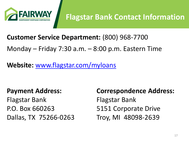

### **Customer Service Department:** (800) 968-7700

Monday – Friday 7:30 a.m. – 8:00 p.m. Eastern Time

**Website:** [www.flagstar.com/myloans](http://www.flagstar.com/myloans)

### **Payment Address:**

Flagstar Bank P.O. Box 660263 Dallas, TX 75266-0263 **Correspondence Address:** Flagstar Bank 5151 Corporate Drive Troy, MI 48098-2639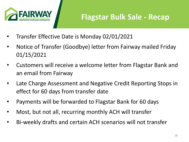

- Transfer Effective Date is Monday 02/01/2021
- Notice of Transfer (Goodbye) letter from Fairway mailed Friday 01/15/2021
- Customers will receive a welcome letter from Flagstar Bank and an email from Fairway
- Late Charge Assessment and Negative Credit Reporting Stops in effect for 60 days from transfer date
- Payments will be forwarded to Flagstar Bank for 60 days
- Most, but not all, recurring monthly ACH will transfer
- Bi-weekly drafts and certain ACH scenarios will not transfer